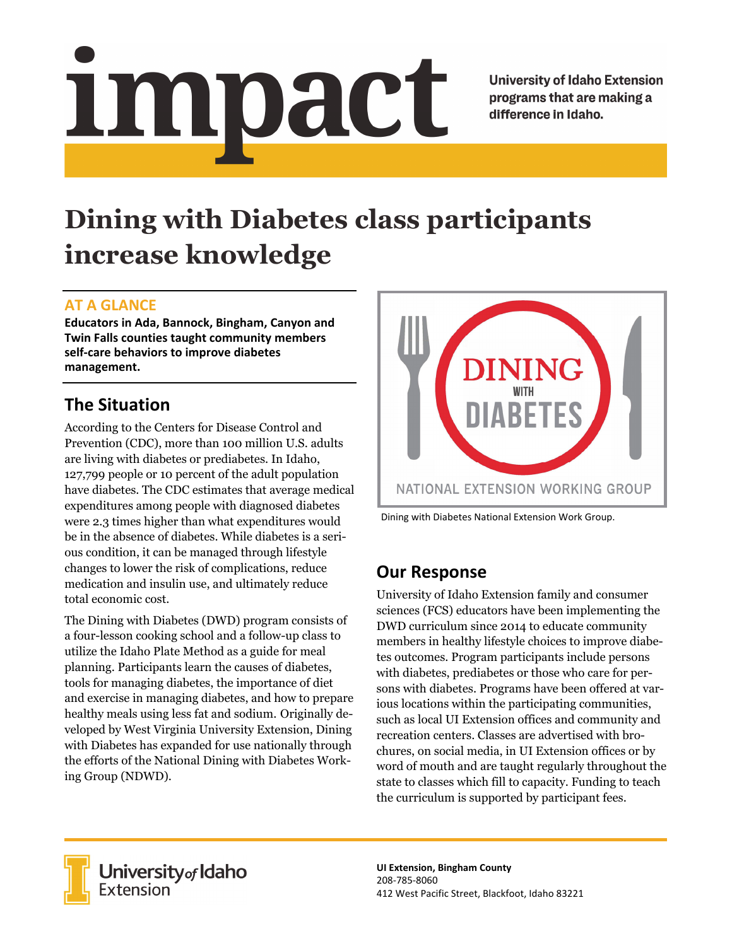# Impact

**University of Idaho Extension** programs that are making a difference in Idaho.

# **Dining with Diabetes class participants increase knowledge**

#### **AT A GLANCE**

**Educators in Ada, Bannock, Bingham, Canyon and Twin Falls counties taught community members self‐care behaviors to improve diabetes management.**

# **The Situation**

According to the Centers for Disease Control and Prevention (CDC), more than 100 million U.S. adults are living with diabetes or prediabetes. In Idaho, 127,799 people or 10 percent of the adult population have diabetes. The CDC estimates that average medical expenditures among people with diagnosed diabetes were 2.3 times higher than what expenditures would be in the absence of diabetes. While diabetes is a serious condition, it can be managed through lifestyle changes to lower the risk of complications, reduce medication and insulin use, and ultimately reduce total economic cost.

The Dining with Diabetes (DWD) program consists of a four-lesson cooking school and a follow-up class to utilize the Idaho Plate Method as a guide for meal planning. Participants learn the causes of diabetes, tools for managing diabetes, the importance of diet and exercise in managing diabetes, and how to prepare healthy meals using less fat and sodium. Originally developed by West Virginia University Extension, Dining with Diabetes has expanded for use nationally through the efforts of the National Dining with Diabetes Working Group (NDWD).



Dining with Diabetes National Extension Work Group.

## **Our Response**

University of Idaho Extension family and consumer sciences (FCS) educators have been implementing the DWD curriculum since 2014 to educate community members in healthy lifestyle choices to improve diabetes outcomes. Program participants include persons with diabetes, prediabetes or those who care for persons with diabetes. Programs have been offered at various locations within the participating communities, such as local UI Extension offices and community and recreation centers. Classes are advertised with brochures, on social media, in UI Extension offices or by word of mouth and are taught regularly throughout the state to classes which fill to capacity. Funding to teach the curriculum is supported by participant fees.



University<sub>of</sub> Idaho Extension

**UI Extension, Bingham County** 208‐785‐8060 412 West Pacific Street, Blackfoot, Idaho 83221